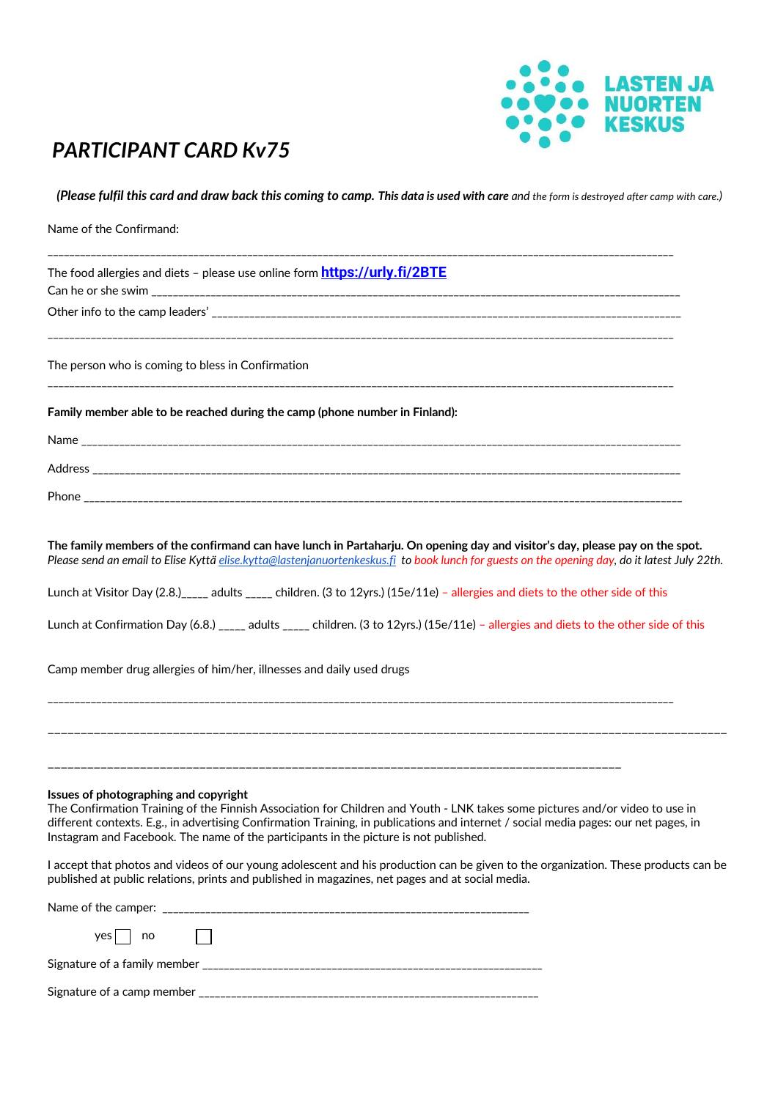

## *PARTICIPANT CARD Kv75*

*(Please fulfil this card and draw back this coming to camp. This data is used with care and the form is destroyed after camp with care.)*

| Name of the Confirmand:                                                                                                                                                                                                                                                                                                                                                                                |
|--------------------------------------------------------------------------------------------------------------------------------------------------------------------------------------------------------------------------------------------------------------------------------------------------------------------------------------------------------------------------------------------------------|
| The food allergies and diets – please use online form <b>https://urly.fi/2BTE</b>                                                                                                                                                                                                                                                                                                                      |
|                                                                                                                                                                                                                                                                                                                                                                                                        |
| The person who is coming to bless in Confirmation                                                                                                                                                                                                                                                                                                                                                      |
| Family member able to be reached during the camp (phone number in Finland):                                                                                                                                                                                                                                                                                                                            |
|                                                                                                                                                                                                                                                                                                                                                                                                        |
|                                                                                                                                                                                                                                                                                                                                                                                                        |
|                                                                                                                                                                                                                                                                                                                                                                                                        |
| The family members of the confirmand can have lunch in Partaharju. On opening day and visitor's day, please pay on the spot.<br>Please send an email to Elise Kyttä elise.kytta@lastenjanuortenkeskus.fi to book lunch for guests on the opening day, do it latest July 22th.                                                                                                                          |
| Lunch at Visitor Day (2.8.) <sub>_____</sub> adults _____ children. (3 to 12yrs.) (15e/11e) - allergies and diets to the other side of this                                                                                                                                                                                                                                                            |
| Lunch at Confirmation Day (6.8.) _____ adults _____ children. (3 to 12yrs.) (15e/11e) - allergies and diets to the other side of this                                                                                                                                                                                                                                                                  |
| Camp member drug allergies of him/her, illnesses and daily used drugs<br>,我们就是我们的人,我们就是我们的人,我们就是我们的人,我们就是我们的人,我们就是我们的人,我们就是我们的人,我们就是我们的人,我们就是我们的人,我们就是我们的<br>第251章 我们的人,我们就是我们的人,我们就是我们的人,我们就是我们的人,我们就是我们的人,我们就是我们的人,我们就是我们的人,我们就是我们的人,我们就是我们                                                                                                                                                          |
|                                                                                                                                                                                                                                                                                                                                                                                                        |
| Issues of photographing and copyright<br>The Confirmation Training of the Finnish Association for Children and Youth - LNK takes some pictures and/or video to use in<br>different contexts. E.g., in advertising Confirmation Training, in publications and internet / social media pages: our net pages, in<br>Instagram and Facebook. The name of the participants in the picture is not published. |
| I accept that photos and videos of our young adolescent and his production can be given to the organization. These products can be<br>published at public relations, prints and published in magazines, net pages and at social media.                                                                                                                                                                 |
|                                                                                                                                                                                                                                                                                                                                                                                                        |
| $yes \mid no$                                                                                                                                                                                                                                                                                                                                                                                          |
|                                                                                                                                                                                                                                                                                                                                                                                                        |
|                                                                                                                                                                                                                                                                                                                                                                                                        |